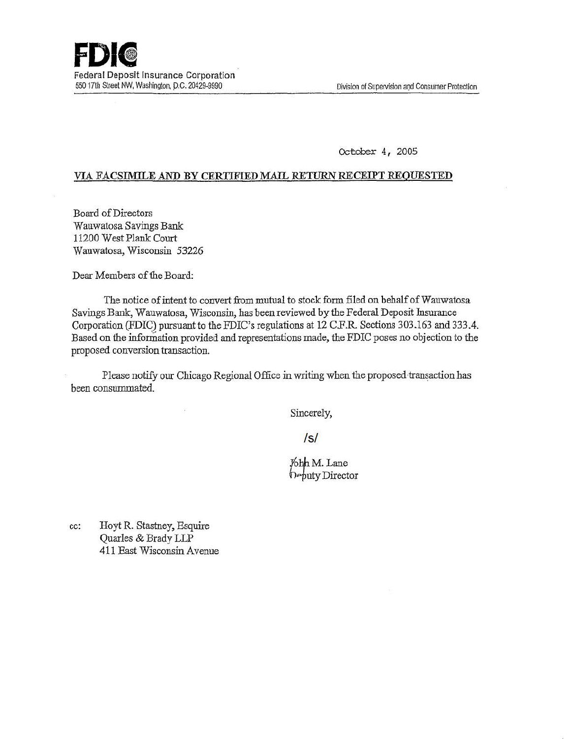October *4* , 2005

## VIA FACSIMILE AND BY CERTIFIED MAIL RETURN RECEIPT REQUESTED

Board of Directors Wauwatosa Savings Bank 11200 West Plank Court Wauwatosa, Wisconsin 53226

Dear Members of the Board:

The notice of intent to convert from mutual to stock form filed on behalf of Wauwatosa Savings Bank, Wauwatosa, Wisconsin, has been reviewed by the Federal Deposit Insurance Corporation (FDIC) pursuant to the FDIC's regulations at 12 C.F.R Sections 303.163 and 333.4. Based on the information provided and representations made, the FDIC poses no objection to the proposed conversion transaction.

Please notify our Chicago Regional Office in writing when the proposed transaction has been consummated.

Sincerely,

/s/

 $Y$ <sub>o</sub>hh M. Lane f>.,puty Director

cc: Hoyt R. Stastney, Esquire Quarles & Brady LLP 411 East Wisconsin Avenue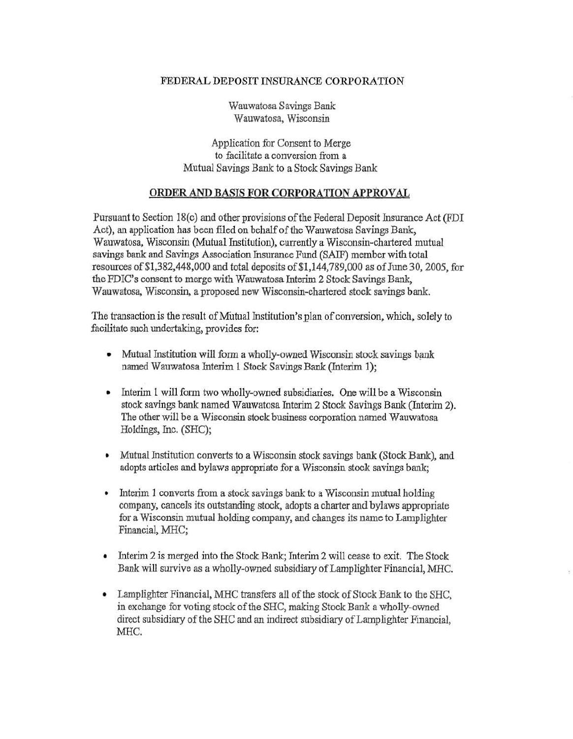## FEDERAL DEPOSIT INSURANCE CORPORATION

Wauwatosa Savings Bank Wauwatosa, Wisconsin

Application for Consent to Merge to facilitate a conversion from a Mutual Savings Bank to a Stock Savings Bank

## **ORDER AND** BASIS **FOR CORPORATION APPROVAL**

Pursuant to Section 18(c) and other provisions of the Federal Deposit Insurance Act (FDI) Act), an application has been filed on behalf of the Wauwatosa Savings Bank, Wauwatosa, Wisconsin (Mutual Institution), currently a Wisconsin-chartered mutual savings bank and Savings Association Insurance Fund (SAIF) member with total resources of\$1,382,448,000 and total deposits of\$1,144,789,000 as of June 30,2005, for the FDIC's consent to merge with Wauwatosa Interim 2 Stock Savings Bank, Wauwatosa, Wisconsin, a proposed new Wisconsin-chartered stock savings bank.

The transaction is the result of Mutual Institution's plan of conversion, which, solely to facilitate such undertaking, provides for:

- Mutual Institution will form a wholly-owned Wisconsin stock savings bank named Wauwatosa Interim 1 Stock Savings Bank (Interim 1);
- Interim 1 will form two wholly-owned subsidiaries. One will be a Wisconsin stock savings bank named Wauwatosa Interim 2 Stock Savings Bank (Interim 2). The other will be a Wisconsin stock business corporation named Wauwatosa Holdings, Inc. (SHC);
- Mutual Institution converts to a Wisconsin stock savings bank (Stock Bank), and adopts articles and bylaws appropriate for a Wisconsin stock savings bank;
- Interim 1 converts from a stock savings bank to a Wisconsin mutual holding company, cancels its outstanding stock, adopts a charter and bylaws appropriate for a Wisconsin mutual holding company, and changes its name to Lamplighter Financial, MHC;
- Interim 2 is merged into the Stock Bank; Interim 2 will cease to exit. The Stock Bank will survive as a wholly-owned subsidiary of Lamplighter Financial, MHC.
- Lamplighter Financial, MHC transfers all of the stock of Stock Bank to the SHC, in exchange for voting stock of the SHC, making Stock Bank a wholly-owned direct subsidiary of the SHC and an indirect subsidiary of Lamplighter Financial, MHC.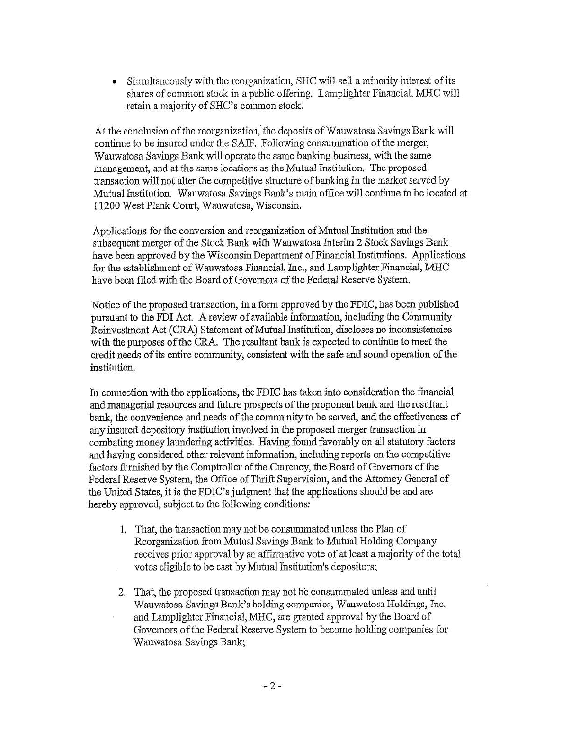• Simultaneously with the reorganization, SHC will sell a minority interest of its shares of common stock in a public offering. Lamplighter Financial, MHC will retain a majority of SHC's common stock.

At the conclusion of the reorganization, the deposits of Wauwatosa Savings Bank will continue to be insured under the SAIF. Following consummation of the merger, Wauwatosa Savings Bank will operate the same banking business, with the same management, and at the same locations as the Mutual Institution. The proposed transaction will not alter the competitive structure of banking in the market served by Mutual Institution. Wauwatosa Savings Bank's main office will continue to be located at 11200 West Plank Court, Wauwatosa, Wisconsin.

Applications for the conversion and reorganization of Mutual Institution and the subsequent merger of the Stock Bank with Wauwatosa Interim 2 Stock Savings Bank have been approved by the Wisconsin Department of Financial Institutions. Applications for the establishment of Wauwatosa Financial, Inc., and Lamplighter Financial, MHC have been filed with the Board of Governors of the Federal Reserve System.

Notice of the proposed transaction, in a fonn approved by the FDIC, has been published pursuant to the FDI Act. A review of available information, including the Community Reinvestment Act (CRA) Statement of Mutual Institution, discloses no inconsistencies with the purposes of the CRA. The resultant bank is expected to continue to meet the credit needs of its entire community, consistent with the safe and sound operation of the institution.

In connection with the applications, the FDIC has taken into consideration the financial and managerial resources and future prospects of the proponent bank and the resultant bank, the convenience and needs of the community to be served, and the effectiveness of any insured depository institution involved in the proposed merger transaction in combating money laundering activities. Having found favorably on all statutory factors and having considered other relevant information, including reports on the competitive factors furnished by the Comptroller of the Currency, the Board of Governors of the Federal Reserve System, the Office of Thrift Supervision, and the Attorney General of the United States, it is the FDIC's judgment that the applications should be and are hereby approved, subject to the following conditions:

- 1. That, the transaction may not be consummated unless the Plan of Reorganization from Mutual Savings Bank to Mutual Holding Company receives prior approval by an affirmative vote of at least a majority of the total votes eligible to be cast by Mutual Institution's depositors;
- 2. That, the proposed transaction may not be consummated unless and until Wauwatosa Savings Bank's holding companies, Wauwatosa Holdings, Inc. and Lamplighter Financial, MHC, are granted approval by the Board of Governors ofthe Federal Reserve System to become holding companies for Wauwatosa Savings Bank;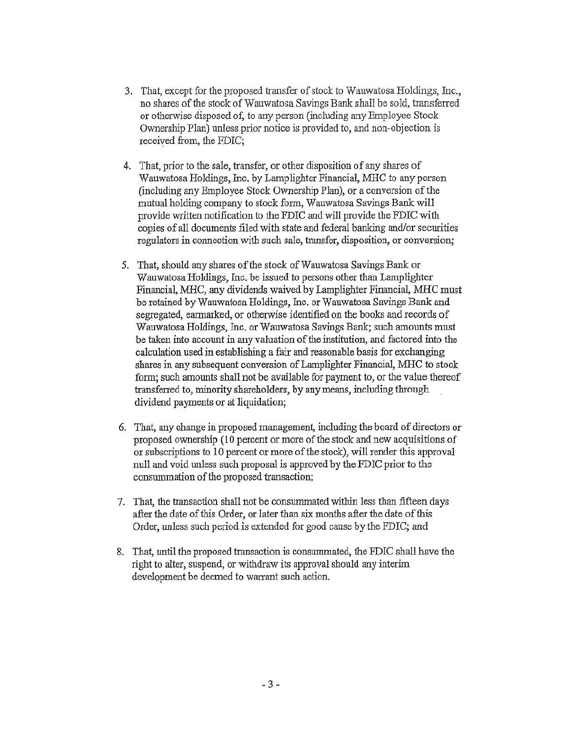- 3. That, except for the proposed transfer of stock to Wauwatosa Holdings, Inc., no shares of the stock of Wauwatosa Savings Bank shall be sold, transferred or otherwise disposed of, to any person (including any Employee Stock Ownership Plan) unless prior notice is provided to, and non-objection is received from, the FDIC;
- 4. That, prior to the sale, transfer, or other disposition of any shares of Wauwatosa Holdings, Inc. by Lamplighter Financial, MHC to any person (including any Employee Stock Ownership Plan), or a conversion of the mutual holding company to stock form, Wauwatosa Savings Bank will provide written notification to the FDIC and will provide the FDIC with copies of all documents filed with state and federal banking and/or securities regulators in connection with such sale, transfer, disposition, or conversion;
- 5. That, should any shares of the stock of Wauwatosa Savings Bank or Wauwatosa Holdings, Inc. be issued to persons other than Lamplighter Financial, MHC, any dividends waived by Lamplighter Financial, MHC must be retained by Wauwatosa Holdings, Inc. or Wauwatosa Savings Bank and segregated, earmarked, or otherwise identified on the books and records of Wauwatosa Holdings, Inc. or Wauwatosa Savings Bank; such amounts must be taken into account in any valuation of the institution, and factored into the calculation used in establishing a fair and reasonable basis for exchanging shares in any subsequent conversion of Lamplighter Financial, MHC to stock form; such amounts shall not be available for payment to, or the value thereof transferred to, minority shareholders, by any means, including through dividend payments or at liquidation;
- 6. That, any change in proposed management, including the board of directors or proposed ownership (10 percent or more of the stock and new acquisitions of or subscriptions to 10 percent or more of the stock), will render this approval null and void unless such proposal is approved by the FDIC prior to the consummation of the proposed transaction;
- 7. That, the transaction shall not be consummated within less than fifteen days after the date of this Order, or later than six months after the date of this Order, unless such period is extended for good cause by the FDIC; and
- 8. That, until the proposed transaction is consummated, the FDIC shall have the right to alter, suspend, or withdraw its approval should any interim development be deemed to warrant such action.